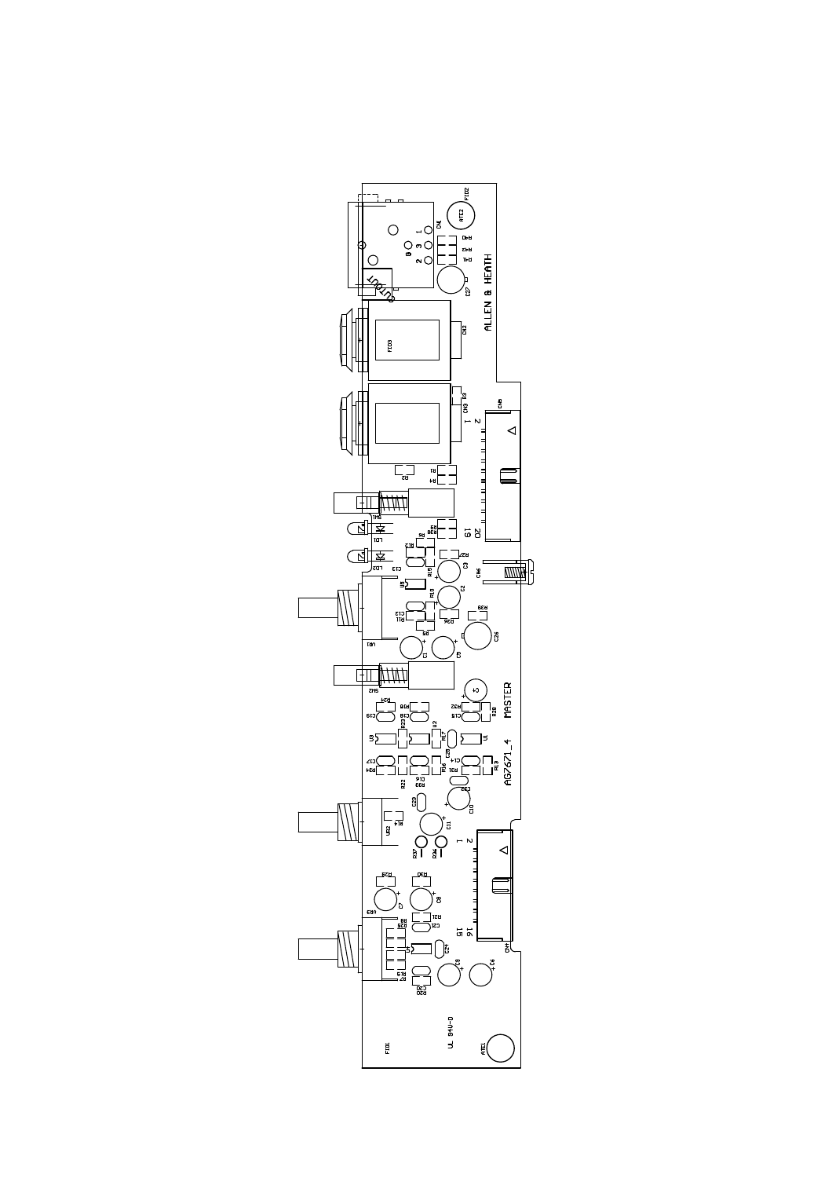